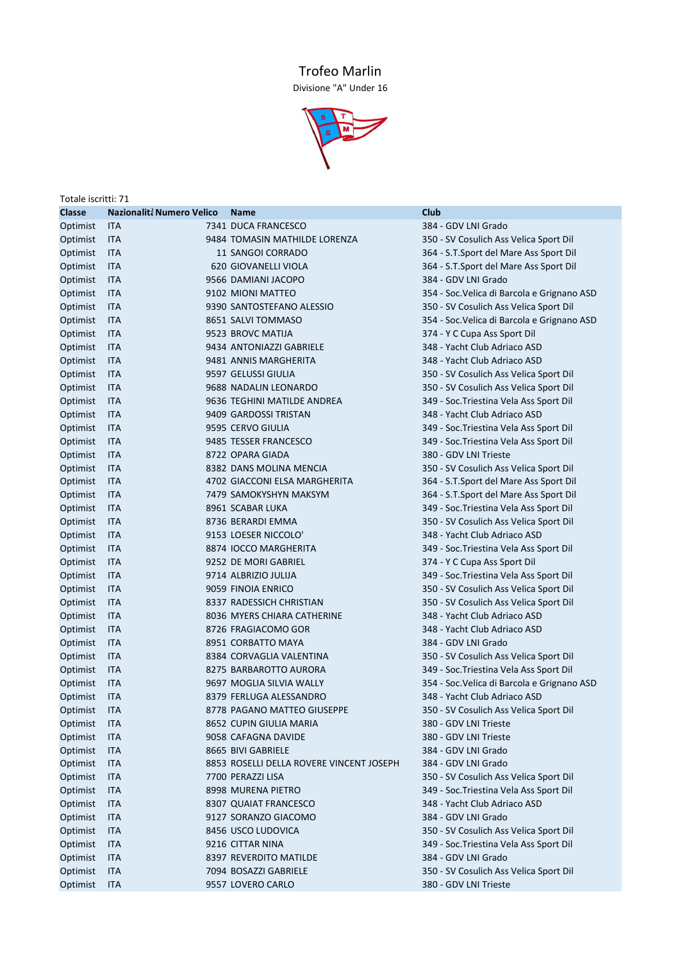## Trofeo Marlin

Divisione "A" Under 16



| Totale iscritti: 71 |                           |  |                                          |                                             |  |  |  |
|---------------------|---------------------------|--|------------------------------------------|---------------------------------------------|--|--|--|
| <b>Classe</b>       | Nazionalità Numero Velico |  | <b>Name</b>                              | Club                                        |  |  |  |
| Optimist            | <b>ITA</b>                |  | 7341 DUCA FRANCESCO                      | 384 - GDV LNI Grado                         |  |  |  |
| Optimist            | ITA                       |  | 9484 TOMASIN MATHILDE LORENZA            | 350 - SV Cosulich Ass Velica Sport Dil      |  |  |  |
| Optimist            | <b>ITA</b>                |  | 11 SANGOI CORRADO                        | 364 - S.T.Sport del Mare Ass Sport Dil      |  |  |  |
| Optimist            | <b>ITA</b>                |  | 620 GIOVANELLI VIOLA                     | 364 - S.T.Sport del Mare Ass Sport Dil      |  |  |  |
| Optimist            | <b>ITA</b>                |  | 9566 DAMIANI JACOPO                      | 384 - GDV LNI Grado                         |  |  |  |
| Optimist            | <b>ITA</b>                |  | 9102 MIONI MATTEO                        | 354 - Soc. Velica di Barcola e Grignano ASD |  |  |  |
| Optimist            | <b>ITA</b>                |  | 9390 SANTOSTEFANO ALESSIO                | 350 - SV Cosulich Ass Velica Sport Dil      |  |  |  |
| Optimist            | <b>ITA</b>                |  | 8651 SALVI TOMMASO                       | 354 - Soc. Velica di Barcola e Grignano ASD |  |  |  |
| Optimist            | <b>ITA</b>                |  | 9523 BROVC MATIJA                        | 374 - Y C Cupa Ass Sport Dil                |  |  |  |
| Optimist            | <b>ITA</b>                |  | 9434 ANTONIAZZI GABRIELE                 | 348 - Yacht Club Adriaco ASD                |  |  |  |
| Optimist            | <b>ITA</b>                |  | 9481 ANNIS MARGHERITA                    | 348 - Yacht Club Adriaco ASD                |  |  |  |
| Optimist            | <b>ITA</b>                |  | 9597 GELUSSI GIULIA                      | 350 - SV Cosulich Ass Velica Sport Dil      |  |  |  |
| Optimist            | <b>ITA</b>                |  | 9688 NADALIN LEONARDO                    | 350 - SV Cosulich Ass Velica Sport Dil      |  |  |  |
| Optimist            | <b>ITA</b>                |  | 9636 TEGHINI MATILDE ANDREA              | 349 - Soc. Triestina Vela Ass Sport Dil     |  |  |  |
| Optimist            | <b>ITA</b>                |  | 9409 GARDOSSI TRISTAN                    | 348 - Yacht Club Adriaco ASD                |  |  |  |
| Optimist            | <b>ITA</b>                |  | 9595 CERVO GIULIA                        | 349 - Soc. Triestina Vela Ass Sport Dil     |  |  |  |
| Optimist            | <b>ITA</b>                |  | 9485 TESSER FRANCESCO                    | 349 - Soc. Triestina Vela Ass Sport Dil     |  |  |  |
| Optimist            | <b>ITA</b>                |  | 8722 OPARA GIADA                         | 380 - GDV LNI Trieste                       |  |  |  |
| Optimist            | <b>ITA</b>                |  | 8382 DANS MOLINA MENCIA                  | 350 - SV Cosulich Ass Velica Sport Dil      |  |  |  |
| Optimist            | <b>ITA</b>                |  | 4702 GIACCONI ELSA MARGHERITA            | 364 - S.T.Sport del Mare Ass Sport Dil      |  |  |  |
| Optimist            | <b>ITA</b>                |  | 7479 SAMOKYSHYN MAKSYM                   | 364 - S.T.Sport del Mare Ass Sport Dil      |  |  |  |
| Optimist            | <b>ITA</b>                |  | 8961 SCABAR LUKA                         | 349 - Soc. Triestina Vela Ass Sport Dil     |  |  |  |
| Optimist            | <b>ITA</b>                |  | 8736 BERARDI EMMA                        | 350 - SV Cosulich Ass Velica Sport Dil      |  |  |  |
| Optimist            | <b>ITA</b>                |  | 9153 LOESER NICCOLO'                     | 348 - Yacht Club Adriaco ASD                |  |  |  |
| Optimist            | <b>ITA</b>                |  | 8874 IOCCO MARGHERITA                    | 349 - Soc. Triestina Vela Ass Sport Dil     |  |  |  |
| Optimist            | <b>ITA</b>                |  | 9252 DE MORI GABRIEL                     | 374 - Y C Cupa Ass Sport Dil                |  |  |  |
| Optimist            | <b>ITA</b>                |  | 9714 ALBRIZIO JULIJA                     | 349 - Soc. Triestina Vela Ass Sport Dil     |  |  |  |
| Optimist            | <b>ITA</b>                |  | 9059 FINOIA ENRICO                       | 350 - SV Cosulich Ass Velica Sport Dil      |  |  |  |
| Optimist            | <b>ITA</b>                |  | 8337 RADESSICH CHRISTIAN                 | 350 - SV Cosulich Ass Velica Sport Dil      |  |  |  |
| Optimist            | <b>ITA</b>                |  | 8036 MYERS CHIARA CATHERINE              | 348 - Yacht Club Adriaco ASD                |  |  |  |
| Optimist            | <b>ITA</b>                |  | 8726 FRAGIACOMO GOR                      | 348 - Yacht Club Adriaco ASD                |  |  |  |
| Optimist            | <b>ITA</b>                |  | 8951 CORBATTO MAYA                       | 384 - GDV LNI Grado                         |  |  |  |
| Optimist            | <b>ITA</b>                |  | 8384 CORVAGLIA VALENTINA                 | 350 - SV Cosulich Ass Velica Sport Dil      |  |  |  |
| Optimist            | <b>ITA</b>                |  | 8275 BARBAROTTO AURORA                   | 349 - Soc. Triestina Vela Ass Sport Dil     |  |  |  |
| Optimist            | <b>ITA</b>                |  | 9697 MOGLIA SILVIA WALLY                 | 354 - Soc. Velica di Barcola e Grignano ASD |  |  |  |
| Optimist            | <b>ITA</b>                |  | 8379 FERLUGA ALESSANDRO                  | 348 - Yacht Club Adriaco ASD                |  |  |  |
| Optimist            | <b>ITA</b>                |  | 8778 PAGANO MATTEO GIUSEPPE              | 350 - SV Cosulich Ass Velica Sport Dil      |  |  |  |
| Optimist            | ITA                       |  | 8652 CUPIN GIULIA MARIA                  | 380 - GDV LNI Trieste                       |  |  |  |
| Optimist            | <b>ITA</b>                |  | 9058 CAFAGNA DAVIDE                      | 380 - GDV LNI Trieste                       |  |  |  |
| Optimist            | ITA                       |  | 8665 BIVI GABRIELE                       | 384 - GDV LNI Grado                         |  |  |  |
| Optimist            | <b>ITA</b>                |  | 8853 ROSELLI DELLA ROVERE VINCENT JOSEPH | 384 - GDV LNI Grado                         |  |  |  |
| Optimist            | ITA                       |  | 7700 PERAZZI LISA                        | 350 - SV Cosulich Ass Velica Sport Dil      |  |  |  |
| Optimist            | ITA                       |  | 8998 MURENA PIETRO                       | 349 - Soc. Triestina Vela Ass Sport Dil     |  |  |  |
| Optimist            | ITA                       |  | 8307 QUAIAT FRANCESCO                    | 348 - Yacht Club Adriaco ASD                |  |  |  |
| Optimist            | ITA                       |  | 9127 SORANZO GIACOMO                     | 384 - GDV LNI Grado                         |  |  |  |
| Optimist            | <b>ITA</b>                |  | 8456 USCO LUDOVICA                       | 350 - SV Cosulich Ass Velica Sport Dil      |  |  |  |
| Optimist            | <b>ITA</b>                |  | 9216 CITTAR NINA                         | 349 - Soc. Triestina Vela Ass Sport Dil     |  |  |  |
| Optimist            | ITA                       |  | 8397 REVERDITO MATILDE                   | 384 - GDV LNI Grado                         |  |  |  |
| Optimist            | ITA                       |  | 7094 BOSAZZI GABRIELE                    | 350 - SV Cosulich Ass Velica Sport Dil      |  |  |  |
| Optimist            | ITA                       |  | 9557 LOVERO CARLO                        | 380 - GDV LNI Trieste                       |  |  |  |